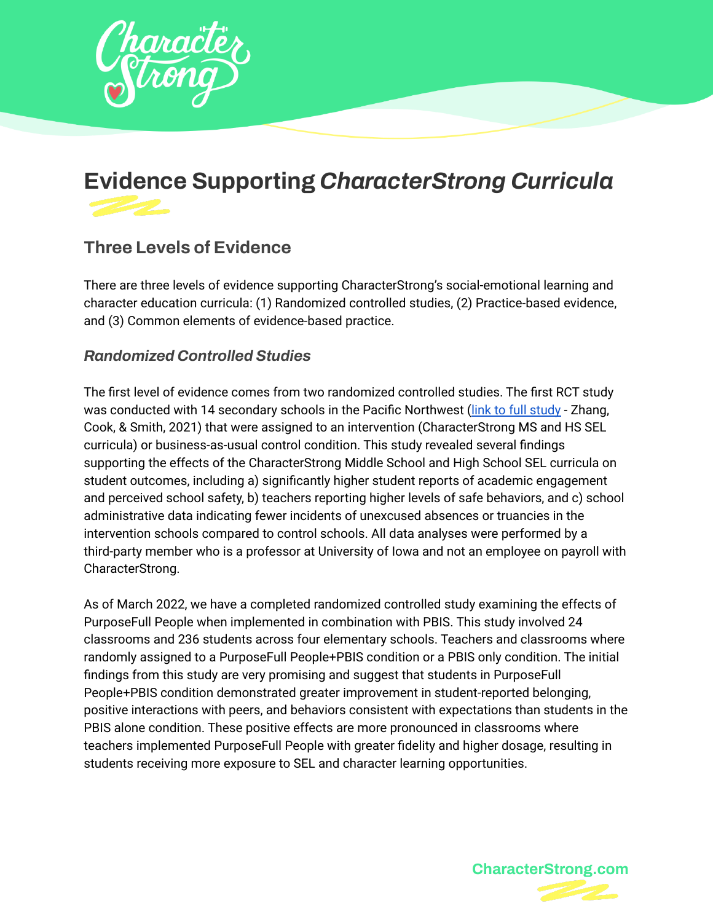

# **Evidence Supporting** *CharacterStrong Curricula*

## **Three Levels of Evidence**

There are three levels of evidence supporting CharacterStrong's social-emotional learning and character education curricula: (1) Randomized controlled studies, (2) Practice-based evidence, and (3) Common elements of evidence-based practice.

#### *Randomized Controlled Studies*

The first level of evidence comes from two randomized controlled studies. The first RCT study was conducted with 14 secondary schools in the Pacific Northwest (link to full [study](https://drive.google.com/file/d/1aw2F2YYnow1VhZNnx-9qwjYG6uq0nCKo/view?usp=sharing) - Zhang, Cook, & Smith, 2021) that were assigned to an intervention (CharacterStrong MS and HS SEL curricula) or business-as-usual control condition. This study revealed several findings supporting the effects of the CharacterStrong Middle School and High School SEL curricula on student outcomes, including a) significantly higher student reports of academic engagement and perceived school safety, b) teachers reporting higher levels of safe behaviors, and c) school administrative data indicating fewer incidents of unexcused absences or truancies in the intervention schools compared to control schools. All data analyses were performed by a third-party member who is a professor at University of Iowa and not an employee on payroll with CharacterStrong.

As of March 2022, we have a completed randomized controlled study examining the effects of PurposeFull People when implemented in combination with PBIS. This study involved 24 classrooms and 236 students across four elementary schools. Teachers and classrooms where randomly assigned to a PurposeFull People+PBIS condition or a PBIS only condition. The initial findings from this study are very promising and suggest that students in PurposeFull People+PBIS condition demonstrated greater improvement in student-reported belonging, positive interactions with peers, and behaviors consistent with expectations than students in the PBIS alone condition. These positive effects are more pronounced in classrooms where teachers implemented PurposeFull People with greater fidelity and higher dosage, resulting in students receiving more exposure to SEL and character learning opportunities.